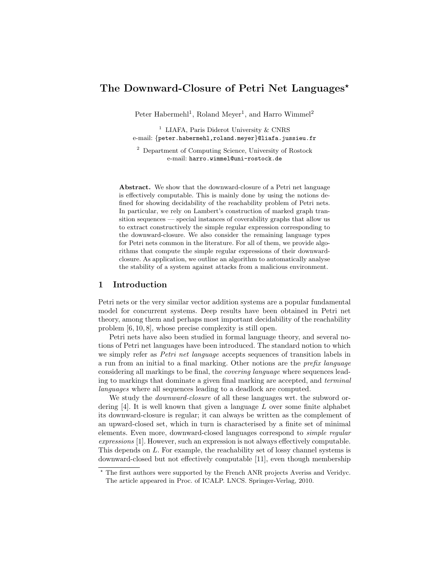# The Downward-Closure of Petri Net Languages<sup>\*</sup>

Peter Habermehl<sup>1</sup>, Roland Meyer<sup>1</sup>, and Harro Wimmel<sup>2</sup>

<sup>1</sup> LIAFA, Paris Diderot University  $\&$  CNRS e-mail: {peter.habermehl,roland.meyer}@liafa.jussieu.fr

<sup>2</sup> Department of Computing Science, University of Rostock e-mail: harro.wimmel@uni-rostock.de

Abstract. We show that the downward-closure of a Petri net language is effectively computable. This is mainly done by using the notions defined for showing decidability of the reachability problem of Petri nets. In particular, we rely on Lambert's construction of marked graph transition sequences — special instances of coverability graphs that allow us to extract constructively the simple regular expression corresponding to the downward-closure. We also consider the remaining language types for Petri nets common in the literature. For all of them, we provide algorithms that compute the simple regular expressions of their downwardclosure. As application, we outline an algorithm to automatically analyse the stability of a system against attacks from a malicious environment.

# 1 Introduction

Petri nets or the very similar vector addition systems are a popular fundamental model for concurrent systems. Deep results have been obtained in Petri net theory, among them and perhaps most important decidability of the reachability problem [6, 10, 8], whose precise complexity is still open.

Petri nets have also been studied in formal language theory, and several notions of Petri net languages have been introduced. The standard notion to which we simply refer as Petri net language accepts sequences of transition labels in a run from an initial to a final marking. Other notions are the prefix language considering all markings to be final, the covering language where sequences leading to markings that dominate a given final marking are accepted, and terminal languages where all sequences leading to a deadlock are computed.

We study the *downward-closure* of all these languages wrt. the subword ordering  $[4]$ . It is well known that given a language L over some finite alphabet its downward-closure is regular; it can always be written as the complement of an upward-closed set, which in turn is characterised by a finite set of minimal elements. Even more, downward-closed languages correspond to simple regular expressions [1]. However, such an expression is not always effectively computable. This depends on L. For example, the reachability set of lossy channel systems is downward-closed but not effectively computable [11], even though membership

<sup>?</sup> The first authors were supported by the French ANR projects Averiss and Veridyc. The article appeared in Proc. of ICALP. LNCS. Springer-Verlag, 2010.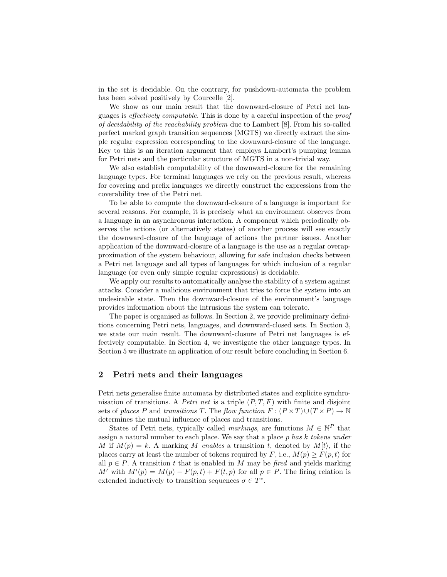in the set is decidable. On the contrary, for pushdown-automata the problem has been solved positively by Courcelle [2].

We show as our main result that the downward-closure of Petri net languages is effectively computable. This is done by a careful inspection of the proof of decidability of the reachability problem due to Lambert [8]. From his so-called perfect marked graph transition sequences (MGTS) we directly extract the simple regular expression corresponding to the downward-closure of the language. Key to this is an iteration argument that employs Lambert's pumping lemma for Petri nets and the particular structure of MGTS in a non-trivial way.

We also establish computability of the downward-closure for the remaining language types. For terminal languages we rely on the previous result, whereas for covering and prefix languages we directly construct the expressions from the coverability tree of the Petri net.

To be able to compute the downward-closure of a language is important for several reasons. For example, it is precisely what an environment observes from a language in an asynchronous interaction. A component which periodically observes the actions (or alternatively states) of another process will see exactly the downward-closure of the language of actions the partner issues. Another application of the downward-closure of a language is the use as a regular overapproximation of the system behaviour, allowing for safe inclusion checks between a Petri net language and all types of languages for which inclusion of a regular language (or even only simple regular expressions) is decidable.

We apply our results to automatically analyse the stability of a system against attacks. Consider a malicious environment that tries to force the system into an undesirable state. Then the downward-closure of the environment's language provides information about the intrusions the system can tolerate.

The paper is organised as follows. In Section 2, we provide preliminary definitions concerning Petri nets, languages, and downward-closed sets. In Section 3, we state our main result. The downward-closure of Petri net languages is effectively computable. In Section 4, we investigate the other language types. In Section 5 we illustrate an application of our result before concluding in Section 6.

# 2 Petri nets and their languages

Petri nets generalise finite automata by distributed states and explicite synchronisation of transitions. A *Petri net* is a triple  $(P, T, F)$  with finite and disjoint sets of places P and transitions T. The flow function  $F : (P \times T) \cup (T \times P) \rightarrow \mathbb{N}$ determines the mutual influence of places and transitions.

States of Petri nets, typically called *markings*, are functions  $M \in \mathbb{N}^P$  that assign a natural number to each place. We say that a place  $p$  has  $k$  tokens under M if  $M(p) = k$ . A marking M enables a transition t, denoted by  $M(t)$ , if the places carry at least the number of tokens required by F, i.e.,  $M(p) \geq F(p, t)$  for all  $p \in P$ . A transition t that is enabled in M may be fired and yields marking M' with  $M'(p) = M(p) - F(p, t) + F(t, p)$  for all  $p \in P$ . The firing relation is extended inductively to transition sequences  $\sigma \in T^*$ .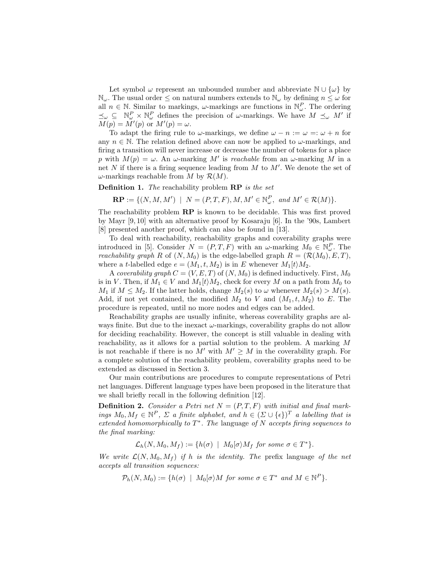Let symbol  $\omega$  represent an unbounded number and abbreviate  $\mathbb{N} \cup {\omega}$  by  $\mathbb{N}_{\omega}$ . The usual order  $\leq$  on natural numbers extends to  $\mathbb{N}_{\omega}$  by defining  $n \leq \omega$  for all  $n \in \mathbb{N}$ . Similar to markings,  $\omega$ -markings are functions in  $\mathbb{N}_{\omega}^P$ . The ordering  $\preceq_\omega \subseteq \mathbb{N}^P_\omega \times \mathbb{N}^P_\omega$  defines the precision of  $\omega$ -markings. We have  $M \preceq_\omega M'$  if  $M(p) = M'(p)$  or  $M'(p) = \omega$ .

To adapt the firing rule to  $\omega$ -markings, we define  $\omega - n := \omega =: \omega + n$  for any  $n \in \mathbb{N}$ . The relation defined above can now be applied to  $\omega$ -markings, and firing a transition will never increase or decrease the number of tokens for a place p with  $M(p) = \omega$ . An  $\omega$ -marking M' is reachable from an  $\omega$ -marking M in a net  $N$  if there is a firing sequence leading from  $M$  to  $M'$ . We denote the set of  $\omega$ -markings reachable from M by  $\mathcal{R}(M)$ .

**Definition 1.** The reachability problem  $\mathbb{RP}$  is the set

 $\mathbf{RP} := \{ (N, M, M') \mid N = (P, T, F), M, M' \in \mathbb{N}_{\omega}^P, \text{ and } M' \in \mathcal{R}(M) \}.$ 

The reachability problem RP is known to be decidable. This was first proved by Mayr [9, 10] with an alternative proof by Kosaraju [6]. In the '90s, Lambert [8] presented another proof, which can also be found in [13].

To deal with reachability, reachability graphs and coverability graphs were introduced in [5]. Consider  $N = (P, T, F)$  with an  $\omega$ -marking  $M_0 \in \mathbb{N}_{\omega}^P$ . The reachability graph R of  $(N, M_0)$  is the edge-labelled graph  $R = (\mathcal{R}(M_0), E, T)$ , where a t-labelled edge  $e = (M_1, t, M_2)$  is in E whenever  $M_1[t\rangle M_2$ .

A coverability graph  $C = (V, E, T)$  of  $(N, M_0)$  is defined inductively. First,  $M_0$ is in V. Then, if  $M_1 \in V$  and  $M_1[t\rangle M_2$ , check for every M on a path from  $M_0$  to  $M_1$  if  $M \leq M_2$ . If the latter holds, change  $M_2(s)$  to  $\omega$  whenever  $M_2(s) > M(s)$ . Add, if not yet contained, the modified  $M_2$  to V and  $(M_1, t, M_2)$  to E. The procedure is repeated, until no more nodes and edges can be added.

Reachability graphs are usually infinite, whereas coverability graphs are always finite. But due to the inexact  $\omega$ -markings, coverability graphs do not allow for deciding reachability. However, the concept is still valuable in dealing with reachability, as it allows for a partial solution to the problem. A marking M is not reachable if there is no M' with  $M' \geq M$  in the coverability graph. For a complete solution of the reachability problem, coverability graphs need to be extended as discussed in Section 3.

Our main contributions are procedures to compute representations of Petri net languages. Different language types have been proposed in the literature that we shall briefly recall in the following definition [12].

**Definition 2.** Consider a Petri net  $N = (P, T, F)$  with initial and final markings  $M_0, M_f \in \mathbb{N}^P$ ,  $\Sigma$  a finite alphabet, and  $h \in (\Sigma \cup \{\epsilon\})^T$  a labelling that is extended homomorphically to  $T^*$ . The language of N accepts firing sequences to the final marking:

 $\mathcal{L}_h(N, M_0, M_f) := \{h(\sigma) \mid M_0[\sigma\rangle M_f \text{ for some } \sigma \in T^*\}.$ 

We write  $\mathcal{L}(N, M_0, M_f)$  if h is the identity. The prefix language of the net accepts all transition sequences:

 $\mathcal{P}_h(N,M_0) := \{ h(\sigma) \mid M_0[\sigma\rangle M \text{ for some } \sigma \in T^* \text{ and } M \in \mathbb{N}^P \}.$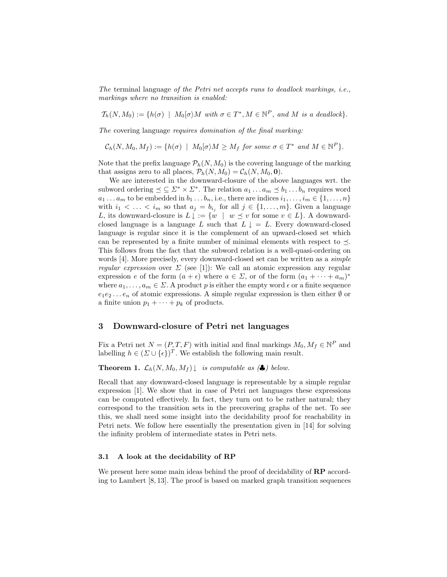The terminal language of the Petri net accepts runs to deadlock markings, i.e., markings where no transition is enabled:

 $\mathcal{T}_h(N,M_0) := \{ h(\sigma) \mid M_0[\sigma \rangle M \text{ with } \sigma \in T^*, M \in \mathbb{N}^P, \text{ and } M \text{ is a deadlock} \}.$ 

The covering language requires domination of the final marking:

$$
\mathcal{C}_h(N, M_0, M_f) := \{ h(\sigma) \mid M_0[\sigma)M \ge M_f \text{ for some } \sigma \in T^* \text{ and } M \in \mathbb{N}^P \}.
$$

Note that the prefix language  $\mathcal{P}_h(N, M_0)$  is the covering language of the marking that assigns zero to all places,  $\mathcal{P}_h(N, M_0) = \mathcal{C}_h(N, M_0, \mathbf{0}).$ 

We are interested in the downward-closure of the above languages wrt. the subword ordering  $\leq \subseteq \Sigma^* \times \Sigma^*$ . The relation  $a_1 \dots a_m \leq b_1 \dots b_n$  requires word  $a_1 \ldots a_m$  to be embedded in  $b_1 \ldots b_n$ , i.e., there are indices  $i_1, \ldots, i_m \in \{1, \ldots, n\}$ with  $i_1 < \ldots < i_m$  so that  $a_j = b_{i_j}$  for all  $j \in \{1, \ldots, m\}$ . Given a language L, its downward-closure is  $L \downarrow := \{w \mid w \preceq v \text{ for some } v \in L\}.$  A downwardclosed language is a language L such that  $L \downarrow = L$ . Every downward-closed language is regular since it is the complement of an upward-closed set which can be represented by a finite number of minimal elements with respect to  $\preceq$ . This follows from the fact that the subword relation is a well-quasi-ordering on words [4]. More precisely, every downward-closed set can be written as a simple regular expression over  $\Sigma$  (see [1]): We call an atomic expression any regular expression e of the form  $(a + \epsilon)$  where  $a \in \Sigma$ , or of the form  $(a_1 + \cdots + a_m)^*$ where  $a_1, \ldots, a_m \in \Sigma$ . A product p is either the empty word  $\epsilon$  or a finite sequence  $e_1e_2 \ldots e_n$  of atomic expressions. A simple regular expression is then either  $\emptyset$  or a finite union  $p_1 + \cdots + p_k$  of products.

## 3 Downward-closure of Petri net languages

Fix a Petri net  $N = (P, T, F)$  with initial and final markings  $M_0, M_f \in \mathbb{N}^P$  and labelling  $h \in (\Sigma \cup \{\epsilon\})^T$ . We establish the following main result.

**Theorem 1.**  $\mathcal{L}_h(N, M_0, M_f)$  *is computable as* ( $\clubsuit$ *) below.* 

Recall that any downward-closed language is representable by a simple regular expression [1]. We show that in case of Petri net languages these expressions can be computed effectively. In fact, they turn out to be rather natural; they correspond to the transition sets in the precovering graphs of the net. To see this, we shall need some insight into the decidability proof for reachability in Petri nets. We follow here essentially the presentation given in [14] for solving the infinity problem of intermediate states in Petri nets.

### 3.1 A look at the decidability of RP

We present here some main ideas behind the proof of decidability of  $\mathbb{RP}$  according to Lambert  $[8, 13]$ . The proof is based on marked graph transition sequences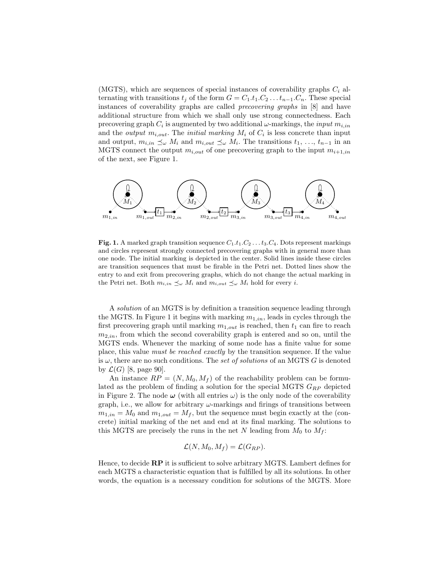(MGTS), which are sequences of special instances of coverability graphs  $C_i$  alternating with transitions  $t_j$  of the form  $G = C_1.t_1.C_2 \ldots t_{n-1}.C_n$ . These special instances of coverability graphs are called precovering graphs in [8] and have additional structure from which we shall only use strong connectedness. Each precovering graph  $C_i$  is augmented by two additional  $\omega$ -markings, the *input*  $m_{i,in}$ and the *output*  $m_{i,out}$ . The *initial marking*  $M_i$  of  $C_i$  is less concrete than input and output,  $m_{i,in} \leq_{\omega} M_i$  and  $m_{i,out} \leq_{\omega} M_i$ . The transitions  $t_1, \ldots, t_{n-1}$  in an MGTS connect the output  $m_{i,out}$  of one precovering graph to the input  $m_{i+1,in}$ of the next, see Figure 1.



Fig. 1. A marked graph transition sequence  $C_1.t_1.C_2 \ldots t_3.C_4$ . Dots represent markings and circles represent strongly connected precovering graphs with in general more than one node. The initial marking is depicted in the center. Solid lines inside these circles are transition sequences that must be firable in the Petri net. Dotted lines show the entry to and exit from precovering graphs, which do not change the actual marking in the Petri net. Both  $m_{i,in} \preceq_{\omega} M_i$  and  $m_{i,out} \preceq_{\omega} M_i$  hold for every *i*.

A solution of an MGTS is by definition a transition sequence leading through the MGTS. In Figure 1 it begins with marking  $m_{1,in}$ , leads in cycles through the first precovering graph until marking  $m_{1,out}$  is reached, then  $t_1$  can fire to reach  $m_{2,in}$ , from which the second coverability graph is entered and so on, until the MGTS ends. Whenever the marking of some node has a finite value for some place, this value must be reached exactly by the transition sequence. If the value is  $\omega$ , there are no such conditions. The set of solutions of an MGTS G is denoted by  $\mathcal{L}(G)$  [8, page 90].

An instance  $RP = (N, M_0, M_f)$  of the reachability problem can be formulated as the problem of finding a solution for the special MGTS  $G_{RP}$  depicted in Figure 2. The node  $\omega$  (with all entries  $\omega$ ) is the only node of the coverability graph, i.e., we allow for arbitrary  $\omega$ -markings and firings of transitions between  $m_{1,in} = M_0$  and  $m_{1,out} = M_f$ , but the sequence must begin exactly at the (concrete) initial marking of the net and end at its final marking. The solutions to this MGTS are precisely the runs in the net N leading from  $M_0$  to  $M_f$ :

$$
\mathcal{L}(N, M_0, M_f) = \mathcal{L}(G_{RP}).
$$

Hence, to decide **RP** it is sufficient to solve arbitrary MGTS. Lambert defines for each MGTS a characteristic equation that is fulfilled by all its solutions. In other words, the equation is a necessary condition for solutions of the MGTS. More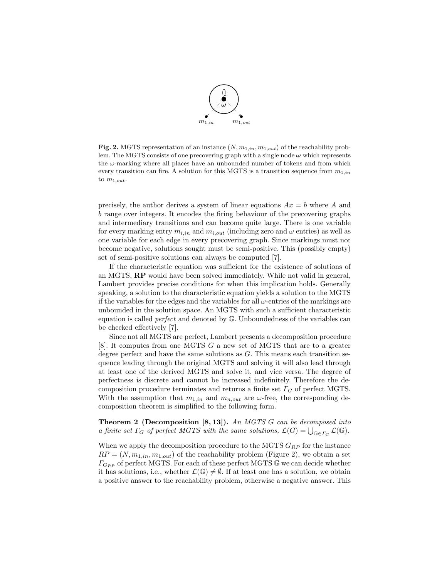

Fig. 2. MGTS representation of an instance  $(N, m_{1,in}, m_{1,out})$  of the reachability problem. The MGTS consists of one precovering graph with a single node  $\omega$  which represents the  $\omega$ -marking where all places have an unbounded number of tokens and from which every transition can fire. A solution for this MGTS is a transition sequence from  $m_{1,in}$ to  $m_{1,out}.$ 

precisely, the author derives a system of linear equations  $Ax = b$  where A and b range over integers. It encodes the firing behaviour of the precovering graphs and intermediary transitions and can become quite large. There is one variable for every marking entry  $m_{i,in}$  and  $m_{i,out}$  (including zero and  $\omega$  entries) as well as one variable for each edge in every precovering graph. Since markings must not become negative, solutions sought must be semi-positive. This (possibly empty) set of semi-positive solutions can always be computed [7].

If the characteristic equation was sufficient for the existence of solutions of an MGTS, RP would have been solved immediately. While not valid in general, Lambert provides precise conditions for when this implication holds. Generally speaking, a solution to the characteristic equation yields a solution to the MGTS if the variables for the edges and the variables for all  $\omega$ -entries of the markings are unbounded in the solution space. An MGTS with such a sufficient characteristic equation is called perfect and denoted by G. Unboundedness of the variables can be checked effectively [7].

Since not all MGTS are perfect, Lambert presents a decomposition procedure [8]. It computes from one MGTS G a new set of MGTS that are to a greater degree perfect and have the same solutions as  $G$ . This means each transition sequence leading through the original MGTS and solving it will also lead through at least one of the derived MGTS and solve it, and vice versa. The degree of perfectness is discrete and cannot be increased indefinitely. Therefore the decomposition procedure terminates and returns a finite set  $\Gamma_G$  of perfect MGTS. With the assumption that  $m_{1,in}$  and  $m_{n,out}$  are  $\omega$ -free, the corresponding decomposition theorem is simplified to the following form.

Theorem 2 (Decomposition [8, 13]). An MGTS G can be decomposed into a finite set  $\Gamma_G$  of perfect MGTS with the same solutions,  $\mathcal{L}(G) = \bigcup_{\mathbb{G} \in \Gamma_G} \mathcal{L}(\mathbb{G})$ .

When we apply the decomposition procedure to the MGTS  $G_{RP}$  for the instance  $RP = (N, m_{1,in}, m_{1,out})$  of the reachability problem (Figure 2), we obtain a set  $\Gamma_{G_{RP}}$  of perfect MGTS. For each of these perfect MGTS G we can decide whether it has solutions, i.e., whether  $\mathcal{L}(\mathbb{G}) \neq \emptyset$ . If at least one has a solution, we obtain a positive answer to the reachability problem, otherwise a negative answer. This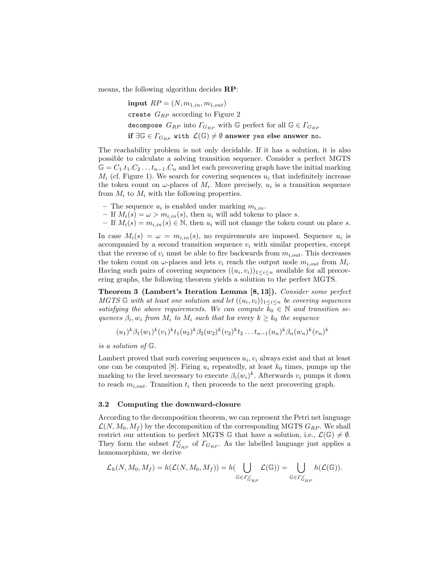means, the following algorithm decides RP:

input  $RP = (N, m_{1,in}, m_{1,out})$ create  $G_{RP}$  according to Figure 2 decompose  $G_{RP}$  into  $\Gamma_{G_{RP}}$  with G perfect for all  $\mathbb{G} \in \Gamma_{G_{RP}}$ if  $\exists \mathbb{G} \in \Gamma_{G_{RP}}$  with  $\mathcal{L}(\mathbb{G}) \neq \emptyset$  answer yes else answer no.

The reachability problem is not only decidable. If it has a solution, it is also possible to calculate a solving transition sequence. Consider a perfect MGTS  $\mathbb{G} = C_1 \cdot t_1 \cdot C_2 \cdot \cdot \cdot t_{n-1} \cdot C_n$  and let each precovering graph have the initial marking  $M_i$  (cf. Figure 1). We search for covering sequences  $u_i$  that indefinitely increase the token count on  $\omega$ -places of  $M_i$ . More precisely,  $u_i$  is a transition sequence from  $M_i$  to  $M_i$  with the following properties.

- The sequence  $u_i$  is enabled under marking  $m_{i,in}$ .
- If  $M_i(s) = \omega > m_{i,in}(s)$ , then  $u_i$  will add tokens to place s.
- If  $M_i(s) = m_{i,in}(s) \in \mathbb{N}$ , then  $u_i$  will not change the token count on place s.

In case  $M_i(s) = \omega = m_{i,in}(s)$ , no requirements are imposed. Sequence  $u_i$  is accompanied by a second transition sequence  $v_i$  with similar properties, except that the reverse of  $v_i$  must be able to fire backwards from  $m_{i,out}$ . This decreases the token count on  $\omega$ -places and lets  $v_i$  reach the output node  $m_{i,out}$  from  $M_i$ . Having such pairs of covering sequences  $((u_i, v_i))_{1 \leq i \leq n}$  available for all precovering graphs, the following theorem yields a solution to the perfect MGTS.

Theorem 3 (Lambert's Iteration Lemma [8, 13]). Consider some perfect MGTS G with at least one solution and let  $((u_i, v_i))_{1 \leq i \leq n}$  be covering sequences satisfying the above requirements. We can compute  $k_0 \in \mathbb{N}$  and transition sequences  $\beta_i, w_i$  from  $M_i$  to  $M_i$  such that for every  $k \geq k_0$  the sequence

$$
(u_1)^k \beta_1 (w_1)^k (v_1)^k t_1 (u_2)^k \beta_2 (w_2)^k (v_2)^k t_2 \dots t_{n-1} (u_n)^k \beta_n (w_n)^k (v_n)^k
$$

is a solution of G.

Lambert proved that such covering sequences  $u_i, v_i$  always exist and that at least one can be computed [8]. Firing  $u_i$  repeatedly, at least  $k_0$  times, pumps up the marking to the level necessary to execute  $\beta_i(w_i)^k$ . Afterwards  $v_i$  pumps it down to reach  $m_{i,out}$ . Transition  $t_i$  then proceeds to the next precovering graph.

#### 3.2 Computing the downward-closure

According to the decomposition theorem, we can represent the Petri net language  $\mathcal{L}(N, M_0, M_f)$  by the decomposition of the corresponding MGTS  $G_{RP}$ . We shall restrict our attention to perfect MGTS G that have a solution, i.e.,  $\mathcal{L}(\mathbb{G}) \neq \emptyset$ . They form the subset  $\tilde{\Gamma}_{G_{RP}}$  of  $\Gamma_{G_{RP}}$ . As the labelled language just applies a homomorphism, we derive

$$
\mathcal{L}_h(N, M_0, M_f) = h(\mathcal{L}(N, M_0, M_f)) = h(\bigcup_{\mathbb{G} \in \Gamma_{G_{RP}}^{\times}} \mathcal{L}(\mathbb{G})) = \bigcup_{\mathbb{G} \in \Gamma_{G_{RP}}^{\times}} h(\mathcal{L}(\mathbb{G})).
$$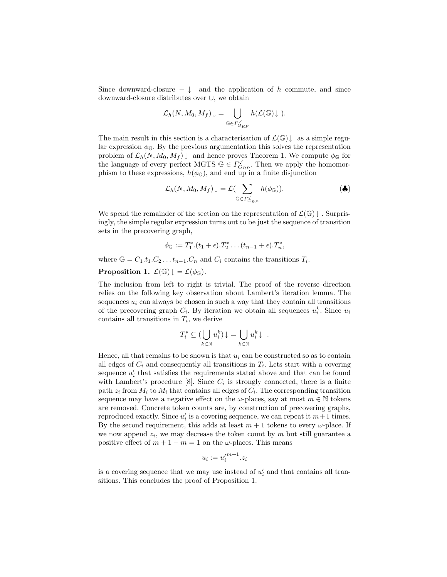Since downward-closure  $-\downarrow$  and the application of h commute, and since downward-closure distributes over ∪, we obtain

$$
\mathcal{L}_h(N,M_0,M_f)\downarrow = \bigcup_{\mathbb{G}\in \Gamma_{G_{RP}}^{\checkmark}} h(\mathcal{L}(\mathbb{G})\downarrow).
$$

The main result in this section is a characterisation of  $\mathcal{L}(\mathbb{G})\downarrow$  as a simple regular expression  $\phi_{\mathbb{G}}$ . By the previous argumentation this solves the representation problem of  $\mathcal{L}_h(N, M_0, M_f) \downarrow$  and hence proves Theorem 1. We compute  $\phi_{\mathbb{G}}$  for the language of every perfect MGTS  $\mathbb{G} \in \Gamma_{G_{RP}}^{\checkmark}$ . Then we apply the homomorphism to these expressions,  $h(\phi_{\mathbb{G}})$ , and end up in a finite disjunction

$$
\mathcal{L}_h(N, M_0, M_f) \downarrow = \mathcal{L}(\sum_{\mathbb{G} \in \Gamma_{G_{RP}}^{\checkmark}} h(\phi_{\mathbb{G}})).
$$

We spend the remainder of the section on the representation of  $\mathcal{L}(\mathbb{G})$ . Surprisingly, the simple regular expression turns out to be just the sequence of transition sets in the precovering graph,

$$
\phi_{\mathbb{G}} := T_1^*.(t_1 + \epsilon).T_2^* \dots (t_{n-1} + \epsilon).T_n^*,
$$

where  $\mathbb{G} = C_1 \cdot t_1 \cdot C_2 \cdot \cdot \cdot t_{n-1} \cdot C_n$  and  $C_i$  contains the transitions  $T_i$ .

## **Proposition 1.**  $\mathcal{L}(\mathbb{G}) \downarrow = \mathcal{L}(\phi_{\mathbb{G}})$ .

The inclusion from left to right is trivial. The proof of the reverse direction relies on the following key observation about Lambert's iteration lemma. The sequences  $u_i$  can always be chosen in such a way that they contain all transitions of the precovering graph  $C_i$ . By iteration we obtain all sequences  $u_i^k$ . Since  $u_i$ contains all transitions in  $T_i$ , we derive

$$
T_i^* \subseteq (\bigcup_{k \in \mathbb{N}} u_i^k) \downarrow = \bigcup_{k \in \mathbb{N}} u_i^k \downarrow .
$$

Hence, all that remains to be shown is that  $u_i$  can be constructed so as to contain all edges of  $C_i$  and consequently all transitions in  $T_i$ . Lets start with a covering sequence  $u'_i$  that satisfies the requirements stated above and that can be found with Lambert's procedure [8]. Since  $C_i$  is strongly connected, there is a finite path  $z_i$  from  $M_i$  to  $M_i$  that contains all edges of  $C_i$ . The corresponding transition sequence may have a negative effect on the  $\omega$ -places, say at most  $m \in \mathbb{N}$  tokens are removed. Concrete token counts are, by construction of precovering graphs, reproduced exactly. Since  $u'_i$  is a covering sequence, we can repeat it  $m+1$  times. By the second requirement, this adds at least  $m + 1$  tokens to every  $\omega$ -place. If we now append  $z_i$ , we may decrease the token count by  $m$  but still guarantee a positive effect of  $m + 1 - m = 1$  on the  $\omega$ -places. This means

$$
u_i := u_i'^{m+1}.z_i
$$

is a covering sequence that we may use instead of  $u'_i$  and that contains all transitions. This concludes the proof of Proposition 1.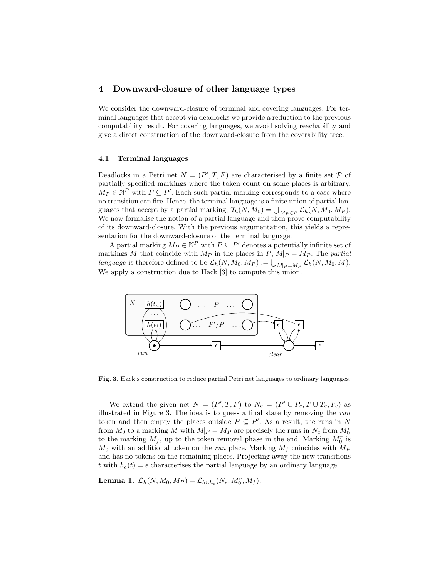## 4 Downward-closure of other language types

We consider the downward-closure of terminal and covering languages. For terminal languages that accept via deadlocks we provide a reduction to the previous computability result. For covering languages, we avoid solving reachability and give a direct construction of the downward-closure from the coverability tree.

#### 4.1 Terminal languages

Deadlocks in a Petri net  $N = (P', T, F)$  are characterised by a finite set  $P$  of partially specified markings where the token count on some places is arbitrary,  $M_P \in \mathbb{N}^P$  with  $P \subseteq P'$ . Each such partial marking corresponds to a case where no transition can fire. Hence, the terminal language is a finite union of partial languages that accept by a partial marking,  $\mathcal{T}_h(N, M_0) = \bigcup_{M_P \in \mathcal{P}} \mathcal{L}_h(N, M_0, M_P)$ . We now formalise the notion of a partial language and then prove computability of its downward-closure. With the previous argumentation, this yields a representation for the downward-closure of the terminal language.

A partial marking  $M_P \in \mathbb{N}^P$  with  $P \subseteq P'$  denotes a potentially infinite set of markings M that coincide with  $M_P$  in the places in  $P, M|_P = M_P$ . The partial language is therefore defined to be  $\mathcal{L}_h(N, M_0, M_P) := \bigcup_{M|_P = M_P} \mathcal{L}_h(N, M_0, M)$ . We apply a construction due to Hack [3] to compute this union.



Fig. 3. Hack's construction to reduce partial Petri net languages to ordinary languages.

We extend the given net  $N = (P', T, F)$  to  $N_e = (P' \cup P_e, T \cup T_e, F_e)$  as illustrated in Figure 3. The idea is to guess a final state by removing the run token and then empty the places outside  $P \subseteq P'$ . As a result, the runs in N from  $M_0$  to a marking M with  $M_P = M_P$  are precisely the runs in  $N_e$  from  $M_0^r$ to the marking  $M_f$ , up to the token removal phase in the end. Marking  $M_0^r$  is  $M_0$  with an additional token on the *run* place. Marking  $M_f$  coincides with  $M_P$ and has no tokens on the remaining places. Projecting away the new transitions t with  $h_e(t) = \epsilon$  characterises the partial language by an ordinary language.

Lemma 1.  $\mathcal{L}_h(N, M_0, M_P) = \mathcal{L}_{h \cup h_e}(N_e, M_0^r, M_f)$ .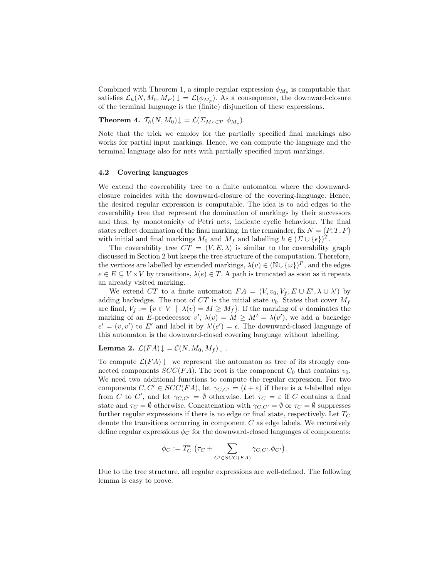Combined with Theorem 1, a simple regular expression  $\phi_{M_p}$  is computable that satisfies  $\mathcal{L}_h(N, M_0, M_P) \downarrow = \mathcal{L}(\phi_{M_p})$ . As a consequence, the downward-closure of the terminal language is the (finite) disjunction of these expressions.

**Theorem 4.**  $\mathcal{T}_h(N, M_0) \downarrow = \mathcal{L}(\Sigma_{M_P \in \mathcal{P}} \phi_{M_P}).$ 

Note that the trick we employ for the partially specified final markings also works for partial input markings. Hence, we can compute the language and the terminal language also for nets with partially specified input markings.

#### 4.2 Covering languages

We extend the coverability tree to a finite automaton where the downwardclosure coincides with the downward-closure of the covering-language. Hence, the desired regular expression is computable. The idea is to add edges to the coverability tree that represent the domination of markings by their successors and thus, by monotonicity of Petri nets, indicate cyclic behaviour. The final states reflect domination of the final marking. In the remainder, fix  $N = (P, T, F)$ with initial and final markings  $M_0$  and  $M_f$  and labelling  $h \in (\Sigma \cup \{\epsilon\})^T$ .

The coverability tree  $CT = (V, E, \lambda)$  is similar to the coverability graph discussed in Section 2 but keeps the tree structure of the computation. Therefore, the vertices are labelled by extended markings,  $\lambda(v) \in (\mathbb{N} \cup \{\omega\})^P$ , and the edges  $e \in E \subseteq V \times V$  by transitions,  $\lambda(e) \in T$ . A path is truncated as soon as it repeats an already visited marking.

We extend CT to a finite automaton  $FA = (V, v_0, V_f, E \cup E', \lambda \cup \lambda')$  by adding backedges. The root of CT is the initial state  $v_0$ . States that cover  $M_f$ are final,  $V_f := \{v \in V \mid \lambda(v) = M \geq M_f\}$ . If the marking of v dominates the marking of an E-predecessor  $v'$ ,  $\lambda(v) = M \geq M' = \lambda(v')$ , we add a backedge  $e' = (v, v')$  to E' and label it by  $\lambda'(e') = \epsilon$ . The downward-closed language of this automaton is the downward-closed covering language without labelling.

Lemma 2.  $\mathcal{L}(FA) \downarrow = \mathcal{C}(N, M_0, M_f) \downarrow$ .

To compute  $\mathcal{L}(FA)$   $\downarrow$  we represent the automaton as tree of its strongly connected components  $SCC(FA)$ . The root is the component  $C_0$  that contains  $v_0$ . We need two additional functions to compute the regular expression. For two components  $C, C' \in SCC(FA)$ , let  $\gamma_{C,C'} = (t + \varepsilon)$  if there is a t-labelled edge from C to C', and let  $\gamma_{C,C'} = \emptyset$  otherwise. Let  $\tau_C = \varepsilon$  if C contains a final state and  $\tau_C = \emptyset$  otherwise. Concatenation with  $\gamma_{C,C'} = \emptyset$  or  $\tau_C = \emptyset$  suppresses further regular expressions if there is no edge or final state, respectively. Let  $T_C$ denote the transitions occurring in component  $C$  as edge labels. We recursively define regular expressions  $\phi_C$  for the downward-closed languages of components:

$$
\phi_C := T^*_{C} \cdot (\tau_C + \sum_{C' \in SCC(FA)} \gamma_{C,C'} \cdot \phi_{C'}).
$$

Due to the tree structure, all regular expressions are well-defined. The following lemma is easy to prove.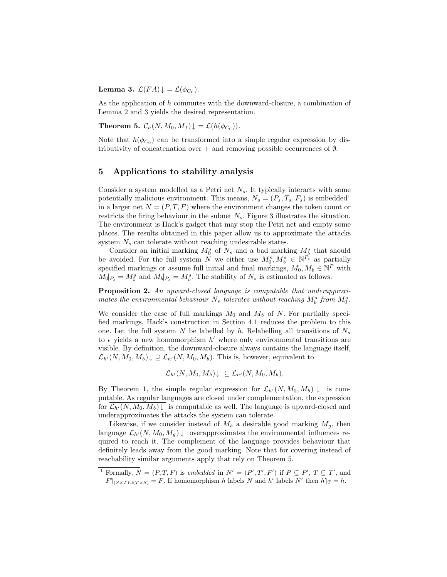**Lemma 3.**  $\mathcal{L}(FA) \downarrow = \mathcal{L}(\phi_{C_0}).$ 

As the application of h commutes with the downward-closure, a combination of Lemma 2 and 3 yields the desired representation.

**Theorem 5.**  $C_h(N, M_0, M_f) \downarrow = \mathcal{L}(h(\phi_{C_0}))$ .

Note that  $h(\phi_{C_0})$  can be transformed into a simple regular expression by distributivity of concatenation over  $+$  and removing possible occurrences of  $\emptyset$ .

## 5 Applications to stability analysis

Consider a system modelled as a Petri net  $N_s$ . It typically interacts with some potentially malicious environment. This means,  $N_s = (P_s, T_s, F_s)$  is embedded<sup>1</sup> in a larger net  $N = (P, T, F)$  where the environment changes the token count or restricts the firing behaviour in the subnet  $N_s$ . Figure 3 illustrates the situation. The environment is Hack's gadget that may stop the Petri net and empty some places. The results obtained in this paper allow us to approximate the attacks system  $N_s$  can tolerate without reaching undesirable states.

Consider an initial marking  $M_0^s$  of  $N_s$  and a bad marking  $M_b^s$  that should be avoided. For the full system N we either use  $M_0^s, M_b^s \in \mathbb{N}^{P_s^s}$  as partially specified markings or assume full initial and final markings,  $M_0, M_b \in \mathbb{N}^P$  with  $M_0|_{P_s} = M_0^s$  and  $M_b|_{P_s} = M_b^s$ . The stability of  $N_s$  is estimated as follows.

Proposition 2. An upward-closed language is computable that underapproximates the environmental behaviour  $N_s$  tolerates without reaching  $M_b^s$  from  $M_0^s$ .

We consider the case of full markings  $M_0$  and  $M_b$  of N. For partially specified markings, Hack's construction in Section 4.1 reduces the problem to this one. Let the full system  $N$  be labelled by  $h$ . Relabelling all transitions of  $N_s$ to  $\epsilon$  yields a new homomorphism  $h'$  where only environmental transitions are visible. By definition, the downward-closure always contains the language itself,  $\mathcal{L}_{h'}(N, M_0, M_b) \downarrow \supseteq \mathcal{L}_{h'}(N, M_0, M_b)$ . This is, however, equivalent to

 $\overline{\mathcal{L}_{h'}(N, M_0, M_b) \downarrow} \subset \overline{\mathcal{L}_{h'}(N, M_0, M_b)}.$ 

By Theorem 1, the simple regular expression for  $\mathcal{L}_{h'}(N, M_0, M_b) \downarrow$  is computable. As regular languages are closed under complementation, the expression for  $\mathcal{L}_{h'}(N, M_0, M_b)$  is computable as well. The language is upward-closed and underapproximates the attacks the system can tolerate.

Likewise, if we consider instead of  $M_b$  a desirable good marking  $M_a$ , then language  $\mathcal{L}_{h'}(N, M_0, M_a) \downarrow$  overapproximates the environmental influences required to reach it. The complement of the language provides behaviour that definitely leads away from the good marking. Note that for covering instead of reachability similar arguments apply that rely on Theorem 5.

<sup>&</sup>lt;sup>1</sup> Formally,  $N = (P, T, F)$  is embedded in  $N' = (P', T', F')$  if  $P \subseteq P', T \subseteq T'$ , and  $F'|_{(S \times T) \cup (T \times S)} = F$ . If homomorphism h labels N and h' labels N' then  $h'|_T = h$ .